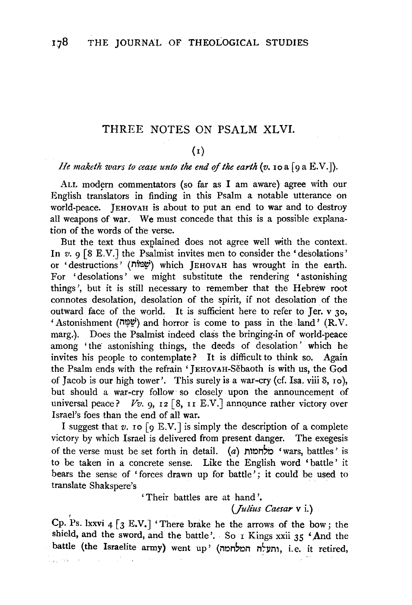## THREE NOTES ON PSALM XLVI.

## (I)

#### *He maketh wars to cease unto the end of the earth*  $(v, \text{io a } [\text{o a } E.V.])$ *.*

ALL modern commentators (so far as I am aware) agree with our English translators in finding in this Psalm a notable utterance on world-peace. JEHOVAH is about to put an end to war and to destroy all weapons of war. We must concede that this is a possible explanation of the words of the verse.

But the text thus explained does not agree well with the context. In *v.*  $9 \times 8$  E.V.] the Psalmist invites men to consider the 'desolations' or 'destructions' (מָּמוֹת) which JEHOVAH has wrought in the earth. For 'desolations' we might substitute the rendering 'astonishing things', but it is still necessary to remember that the Hebrew root connotes desolation, desolation of the spirit, if not desolation of the outward face of the world. It is sufficient here to refer to Jer. v 30, 'Astonishment (1'1~~) and horror is come to pass in the land' (R.V. marg.). Does the Psalmist indeed class the bringing-in of world-peace among 'the astonishing things, the deeds of desolation' which he invites his people to contemplate? It is difficult to think so. Again the Psalm ends with the refrain 'JEHOVAH-Sebaoth is with us, the God of Jacob is our high tower'. This surely is a war-cry (cf. Isa. viii 8, 1o), but should a war-cry follow so closely upon the announcement of universal peace?  $Vv$ . 9, 12 [8, 11 E.V.] announce rather victory over Israel's foes than the end of all war.

I suggest that  $v$ . **IO** [9 E.V.] is simply the description of a complete victory by which Israel is delivered from present danger. The exegesis of the verse must be set forth in detail.  $(a)$  n'on 'wars, battles' is to be taken in a concrete sense. Like the English word 'battle' it bears the sense of 'forces drawn up for battle'; it could be used to translate Shakspere's .

'Their battles are at hand'.

### *(Julius Caesar* v i.}

Cp. Ps. Ixxvi  $4 \lceil 3 \text{ E.V.} \rceil$  'There brake he the arrows of the bow; the shield, and the sword, and the battle'. So I Kings xxii 35 'And the battle (the Israelite army) went up' (התעלה המלחמה, i.e. it retired,

Alban (saman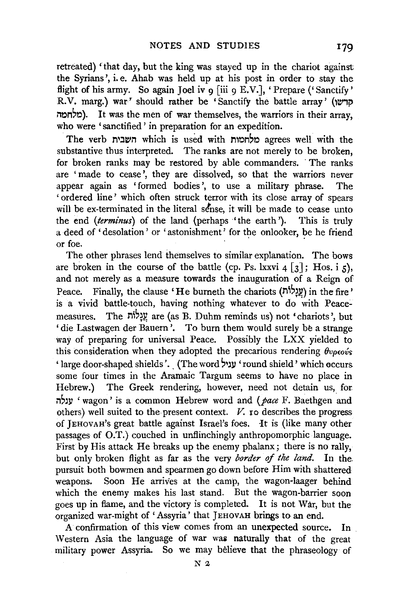retreated) 'that day, but the king was stayed up in the chariot against the Syrians', i.e. Ahab was held up at his post in order to stay the flight of his army. So again Joel iv  $q$  [iii  $q$  E.V.], 'Prepare ('Sanctify' R.V. marg.) war' should rather be 'Sanctify the battle array' (הרשו l"'t.:lM,t.:l). It was the men of war themselves, the warriors in their array, who were 'sanctified' in preparation for an expedition.

The verb השבית which is used with nunbp agrees well with the substantive thus interpreted. The ranks are not merely to be broken, for broken ranks may be restored by able commanders. The ranks are ' made to cease ', they are dissolved, so that the warriors never appear again as 'formed bodies ', to use a military phrase. The 'ordered line' which often struck terror with its close array of spears will be ex-terminated in the literal sense, it will be made to cease unto the end *(terminus)* of the land (perhaps 'the earth '). This is truly a deed of 'desolation' or 'astonishment' for the onlooker, be he friend or foe.

The other phrases lend themselves to similar explanation. The bows are broken in the course of the battle (cp. Ps. lxxvi  $4 \lceil 3 \rceil$ ; Hos. i 5), and not merely as a measure towards the inauguration of a Reign of Peace. Finally, the clause 'He burneth the chariots ( $\frac{y}{y}$ ) in the fire' is a vivid battle-touch, having nothing whatever to do with Peacemeasures. The עֲגָלוֹה are (as B. Duhm reminds us) not 'chariots', but 'die Lastwagen der Bauern '. To burn them would surely be a strange way of preparing for universal Peace. Possibly the LXX yielded to this consideration when they adopted the precarious rendering  $\theta v \rho \epsilon o v s$ ' large door-shaped shields' .. (The word ''~ll 'round shield' which occurs some four times in the Aramaic Targum seems to have no place in Hebrew.) The Greek rendering, however, need not detain us, for n'~ll ' wagon' is a common Hebrew word and *(pace* F. Baethgen and others) well suited to the present context.  $V$  ro describes the progress of JEHOVAH's great battle against Israel's foes. It is (like many other passages of O.T.) couched in unflinchingly anthropomorphic language. First by His attack He breaks up the enemy phalanx; there is no rally, but only broken flight as far as the very *border of the land.* In the. pursuit both bowmen and spearmen go down before Him with shattered weapons. Soon He arrives at the camp, the wagon-laager behind which the enemy makes his last stand. But the wagon-barrier soon goes up in flame, and the victory is completed. It is not War, but the organized war-might of' Assyria' that JEHOVAH brings to an end.

A confirmation of this view comes from an unexpected source. In Western Asia the language of war was naturally that of the great military power Assyria. So we may believe that the phraseology of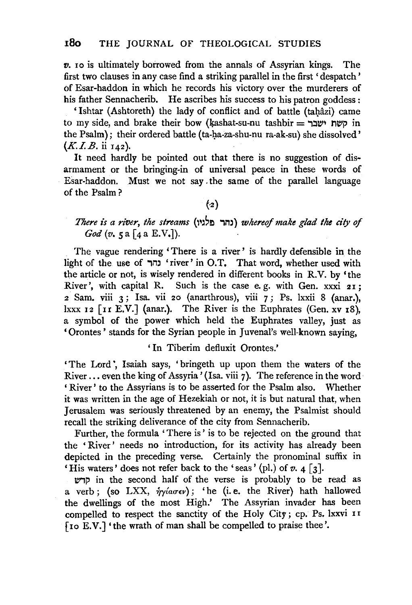*v.* 10 is ultimately borrowed from the annals of Assyrian kings. The first two clauses in any case find a striking parallel in the first 'despatch' of Esar-haddon in which he records his victory over the murderers of his father Sennacherib. He ascribes his success to his patron goddess :

'Ishtar (Ashtoreth) the lady of conflict and of battle (tahâzi) came to my side, and brake their bow (kashat-su-nu tashbir = שמח ישבר the Psalm); their ordered battle (ta-ha-za-shu-nu ra-ak-su) she dissolved' *(K.I.B.* ii 142).

It need hardly be pointed out that there is no suggestion of disarmament or the bringing-in of universal peace in these words of Esar-haddon. Must we not say . the same of the parallel language of the Psalm ?

#### $({\cdot}2)$

## *There is a river, the streams* {''~~El "lm) *whereof make glad the city of God* (*v.* 5 a [4 a E.V.]).

The vague rendering 'There is a river ' is hardly defensible in the light of the use of 'river' in O.T. That word, whether used with the article or not, is wisely rendered in different books in R.V. by 'the River', with capital R. Such is the case e.g. with Gen. xxxi 21;  $2$  Sam. viii  $3$ ; Isa. vii 20 (anarthrous), viii  $7$ ; Ps. lxxii 8 (anar.), lxxx  $12$  [11 E.V.] (anar.). The River is the Euphrates (Gen. xv  $18$ ). a symbol of the power which held the Euphrates valley, just as 'Orontes' stands for the Syrian people in Juvenal's well-known saying,

' In Tiberim defluxit Orontes.'

'The Lord ', Isaiah says, ' bringeth up upon them the waters of the River ... even the king of Assyria' (Isa. viii 7). The reference in the word ' River' to the Assyrians is to be asserted for the Psalm also. Whether it was written in the age of Hezekiah or not, it is but natural that, when Jerusalem was seriously threatened by an enemy, the Psalmist should recall the striking deliverance of the city from Sennacherib.

Further, the formula 'There is' is to be rejected on the ground that the 'River' needs no introduction, for its activity has already been depicted in the preceding verse. Certainly the pronominal suffix in 'His waters' does not refer back to the 'seas' (pl.) of  $v. 4 \lceil 3 \rceil$ .

WlP in the second half of the verse is probably to be read as a verb; (so LXX,  $\hat{\eta}$ *y*( $a\sigma\epsilon\nu$ ); 'he (i.e. the River) hath hallowed the dwellings of the most High.' The Assyrian invader has been compelled to respect the sanctity of the Holy City ; cp. Ps. lxxvi I I (I o E. V.] ' the wrath of man shall be compelled to praise thee '.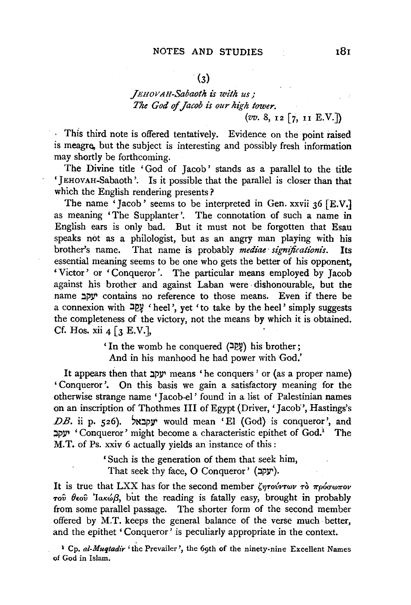# $(3)$

## *.fEHOVAH-Sabaot/t is with us,· The God of Jacob is our high tower.*  (vv. 8, 12 [7, u E.V.J)

This third note is offered tentatively. Evidence on the point raised is meagre, but the subject is interesting and possibly fresh information may shortly be forthcoming.

The Divine title 'God of Jacob' stands as a parallel to the title '}EHOVAH-Sabaoth '. Is it possible that the parallel is closer than that which the English rendering presents?

The name 'Jacob' seems to be interpreted in Gen. xxvii  $36$  [E.V.] as meaning 'The Supplanter'. The connotation of such a name in English ears is only bad. But it must not be forgotten that Esau speaks not as a philologist, but as an angry man playing with his brother's name. That name is probably *mediae significationis*. Its essential meaning seems to be one who gets the better of his opponent, 'Victor' or 'Conqueror'. The particular means employed by Jacob against his brother and against Laban were dishonourable, but the name יעקב contains no reference to those means. Even if there be a connexion with  $\frac{100}{4}$ . ¥ 'heel', yet 'to take by the heel' simply suggests the completeness of the victory, not the means by which it is obtained. Cf. Hos. xii  $4 \lceil 3 \rceil$ . E.V.],

> 'In the womb he conquered  $(2\sqrt{2}\mathfrak{Y})$  his brother; And in his manhood he had power with God.'

It appears then that  $\psi$  means 'he conquers' or (as a proper name) ' Conqueror'. On this basis we gain a satisfactory meaning for the otherwise strange name 'Jacob-el' found in a list of Palestinian names on an inscription of Thothmes Ill of Egypt (Driver,' Jacob', Hastings's  $DB.$  ii p. 526).  $\forall$ y would mean 'El (God) is conqueror', and יעקב 'Conqueror' might become a characteristic epithet of God.<sup>1</sup> The M.T. of Ps. xxiv 6 actually yields an instance of this :

> 'Such is the generation of them that seek him,  $\Gamma$ hat seek thy face, O Conqueror' (יעקב).

It is true that LXX has for the second member  $\zeta \eta r \omega' r \omega \nu \tau \omega' \tau \eta \omega' \omega \tau \omega'$  $\tau$ <sup>ov</sup>  $\theta$ εον 'laκώβ, but the reading is fatally easy, brought in probably from some parallel passage. The shorter form of the second member offered by M.T. keeps the general balance of the verse much better, and the epithet 'Conqueror' is peculiarly appropriate in the context.

1 Cp. *ai-Muqtadir* 'the Prevailer ', the 69th of the ninety-nine Excellent Names of God in Islam.